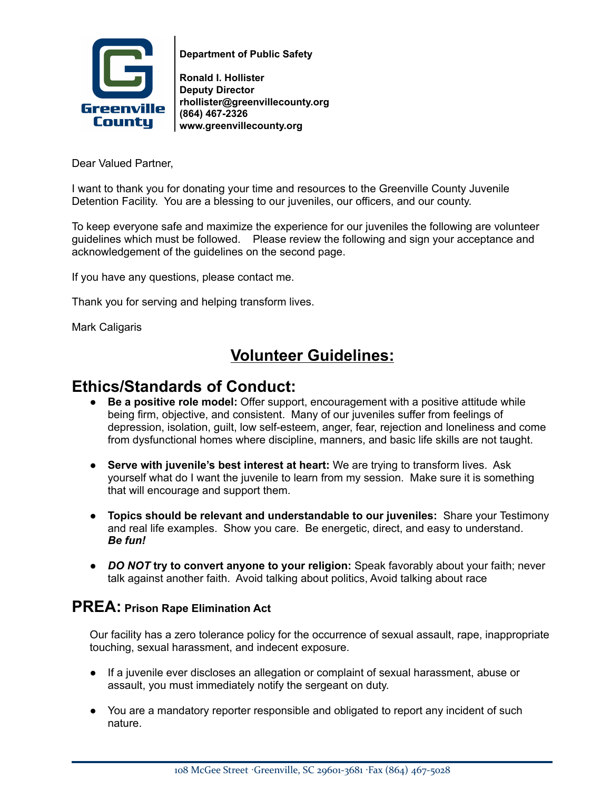

**Department of Public Safety**

**Ronald I. Hollister Deputy Director rhollister@greenvillecounty.org (864) 467-2326 www.greenvillecounty.org**

Dear Valued Partner,

I want to thank you for donating your time and resources to the Greenville County Juvenile Detention Facility. You are a blessing to our juveniles, our officers, and our county.

To keep everyone safe and maximize the experience for our juveniles the following are volunteer guidelines which must be followed. Please review the following and sign your acceptance and acknowledgement of the guidelines on the second page.

If you have any questions, please contact me.

Thank you for serving and helping transform lives.

Mark Caligaris

## **Volunteer Guidelines:**

#### **Ethics/Standards of Conduct:**

- **Be a positive role model:** Offer support, encouragement with a positive attitude while being firm, objective, and consistent. Many of our juveniles suffer from feelings of depression, isolation, guilt, low self-esteem, anger, fear, rejection and loneliness and come from dysfunctional homes where discipline, manners, and basic life skills are not taught.
- **Serve with juvenile's best interest at heart:** We are trying to transform lives. Ask yourself what do I want the juvenile to learn from my session. Make sure it is something that will encourage and support them.
- **Topics should be relevant and understandable to our juveniles:** Share your Testimony and real life examples. Show you care. Be energetic, direct, and easy to understand. *Be fun!*
- *DO NOT* **try to convert anyone to your religion:** Speak favorably about your faith; never talk against another faith. Avoid talking about politics, Avoid talking about race

#### **PREA: Prison Rape Elimination Act**

Our facility has a zero tolerance policy for the occurrence of sexual assault, rape, inappropriate touching, sexual harassment, and indecent exposure.

- If a juvenile ever discloses an allegation or complaint of sexual harassment, abuse or assault, you must immediately notify the sergeant on duty.
- You are a mandatory reporter responsible and obligated to report any incident of such nature.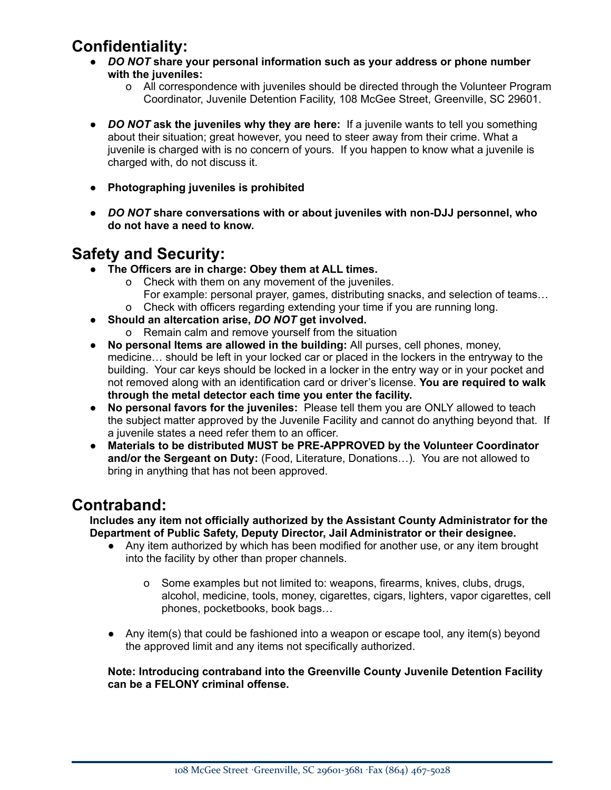# **Confidentiality:**

- *DO NOT* **share your personal information such as your address or phone number with the juveniles:**
	- o All correspondence with juveniles should be directed through the Volunteer Program Coordinator, Juvenile Detention Facility, 108 McGee Street, Greenville, SC 29601.
- *DO NOT* **ask the juveniles why they are here:** If a juvenile wants to tell you something about their situation; great however, you need to steer away from their crime. What a juvenile is charged with is no concern of yours. If you happen to know what a juvenile is charged with, do not discuss it.
- **Photographing juveniles is prohibited**
- *DO NOT* **share conversations with or about juveniles with non-DJJ personnel, who do not have a need to know.**

## **Safety and Security:**

- **The Officers are in charge: Obey them at ALL times.**
	- o Check with them on any movement of the juveniles.
		- For example: personal prayer, games, distributing snacks, and selection of teams…
	- o Check with officers regarding extending your time if you are running long.
- **Should an altercation arise,** *DO NOT* **get involved.**
	- o Remain calm and remove yourself from the situation
- **No personal Items are allowed in the building:** All purses, cell phones, money, medicine… should be left in your locked car or placed in the lockers in the entryway to the building. Your car keys should be locked in a locker in the entry way or in your pocket and not removed along with an identification card or driver's license. **You are required to walk through the metal detector each time you enter the facility.**
- **No personal favors for the juveniles:** Please tell them you are ONLY allowed to teach the subject matter approved by the Juvenile Facility and cannot do anything beyond that. If a juvenile states a need refer them to an officer.
- **Materials to be distributed MUST be PRE-APPROVED by the Volunteer Coordinator and/or the Sergeant on Duty:** (Food, Literature, Donations…). You are not allowed to bring in anything that has not been approved.

#### **Contraband:**

**Includes any item not officially authorized by the Assistant County Administrator for the Department of Public Safety, Deputy Director, Jail Administrator or their designee.**

- Any item authorized by which has been modified for another use, or any item brought into the facility by other than proper channels.
	- o Some examples but not limited to: weapons, firearms, knives, clubs, drugs, alcohol, medicine, tools, money, cigarettes, cigars, lighters, vapor cigarettes, cell phones, pocketbooks, book bags…
- Any item(s) that could be fashioned into a weapon or escape tool, any item(s) beyond the approved limit and any items not specifically authorized.

#### **Note: Introducing contraband into the Greenville County Juvenile Detention Facility can be a FELONY criminal offense.**